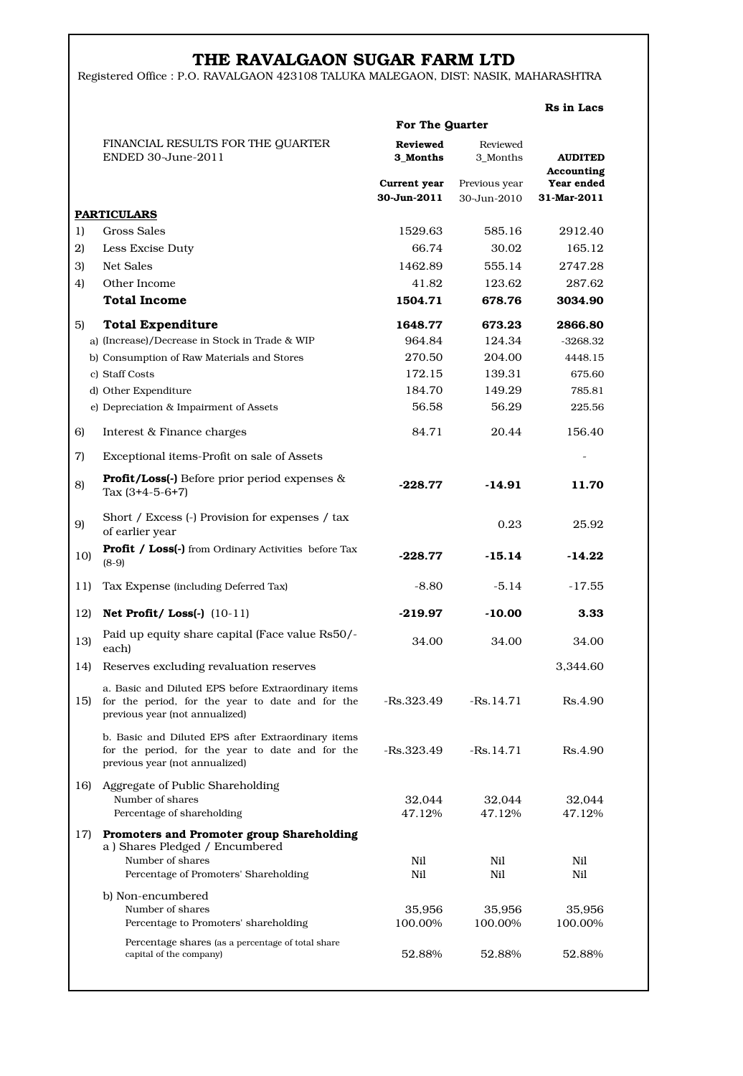## THE RAVALGAON SUGAR FARM LTD

Registered Office : P.O. RAVALGAON 423108 TALUKA MALEGAON, DIST: NASIK, MAHARASHTRA

Rs in Lacs

|     | For The Quarter                                                                                                                           |                             |                              |                              |  |
|-----|-------------------------------------------------------------------------------------------------------------------------------------------|-----------------------------|------------------------------|------------------------------|--|
|     | FINANCIAL RESULTS FOR THE QUARTER<br>ENDED 30-June-2011                                                                                   | <b>Reviewed</b><br>3 Months | Reviewed<br>3_Months         | <b>AUDITED</b><br>Accounting |  |
|     |                                                                                                                                           | Current year<br>30-Jun-2011 | Previous year<br>30-Jun-2010 | Year ended<br>31-Mar-2011    |  |
|     | <b>PARTICULARS</b>                                                                                                                        |                             |                              |                              |  |
| 1)  | Gross Sales                                                                                                                               | 1529.63                     | 585.16                       | 2912.40                      |  |
| 2)  | Less Excise Duty                                                                                                                          | 66.74                       | 30.02                        | 165.12                       |  |
| 3)  | Net Sales                                                                                                                                 | 1462.89                     | 555.14                       | 2747.28                      |  |
| 4)  | Other Income                                                                                                                              | 41.82                       | 123.62                       | 287.62                       |  |
|     | <b>Total Income</b>                                                                                                                       | 1504.71                     | 678.76                       | 3034.90                      |  |
| 5)  | <b>Total Expenditure</b>                                                                                                                  | 1648.77                     | 673.23                       | 2866.80                      |  |
|     | a) (Increase)/Decrease in Stock in Trade & WIP                                                                                            | 964.84                      | 124.34                       | -3268.32                     |  |
|     | b) Consumption of Raw Materials and Stores                                                                                                | 270.50                      | 204.00                       | 4448.15                      |  |
|     | c) Staff Costs                                                                                                                            | 172.15                      | 139.31                       | 675.60                       |  |
|     | d) Other Expenditure                                                                                                                      | 184.70                      | 149.29                       | 785.81                       |  |
|     | e) Depreciation & Impairment of Assets                                                                                                    | 56.58                       | 56.29                        | 225.56                       |  |
| 6)  | Interest & Finance charges                                                                                                                | 84.71                       | 20.44                        | 156.40                       |  |
| 7)  | Exceptional items-Profit on sale of Assets                                                                                                |                             |                              |                              |  |
| 8)  | <b>Profit/Loss(-)</b> Before prior period expenses $\&$<br>Tax $(3+4-5-6+7)$                                                              | $-228.77$                   | -14.91                       | 11.70                        |  |
| 9)  | Short / Excess (-) Provision for expenses / tax<br>of earlier year                                                                        |                             | 0.23                         | 25.92                        |  |
| 10) | <b>Profit / Loss(-)</b> from Ordinary Activities before Tax<br>$(8-9)$                                                                    | -228.77                     | $-15.14$                     | -14.22                       |  |
| 11) | Tax Expense (including Deferred Tax)                                                                                                      | $-8.80$                     | $-5.14$                      | -17.55                       |  |
| 12) | Net Profit/Loss(-) $(10-11)$                                                                                                              | -219.97                     | $-10.00$                     | 3.33                         |  |
| 13) | Paid up equity share capital (Face value Rs50/-<br>each)                                                                                  | 34.00                       | 34.00                        | 34.00                        |  |
| 14) | Reserves excluding revaluation reserves                                                                                                   |                             |                              | 3,344.60                     |  |
| 15) | a. Basic and Diluted EPS before Extraordinary items<br>for the period, for the year to date and for the<br>previous year (not annualized) | -Rs.323.49                  | $-Rs.14.71$                  | Rs.4.90                      |  |
|     | b. Basic and Diluted EPS after Extraordinary items<br>for the period, for the year to date and for the<br>previous year (not annualized)  | -Rs.323.49                  | $-Rs.14.71$                  | Rs.4.90                      |  |
| 16) | Aggregate of Public Shareholding<br>Number of shares<br>Percentage of shareholding                                                        | 32,044<br>47.12%            | 32,044<br>47.12%             | 32,044<br>47.12%             |  |
| 17) | Promoters and Promoter group Shareholding<br>a) Shares Pledged / Encumbered<br>Number of shares<br>Percentage of Promoters' Shareholding  | Nil<br>Nil                  | Nil<br>Nil                   | Nil<br>Nil                   |  |
|     | b) Non-encumbered<br>Number of shares<br>Percentage to Promoters' shareholding                                                            | 35,956<br>100.00%           | 35,956<br>100.00%            | 35,956<br>100.00%            |  |
|     | Percentage shares (as a percentage of total share<br>capital of the company)                                                              | 52.88%                      | 52.88%                       | 52.88%                       |  |